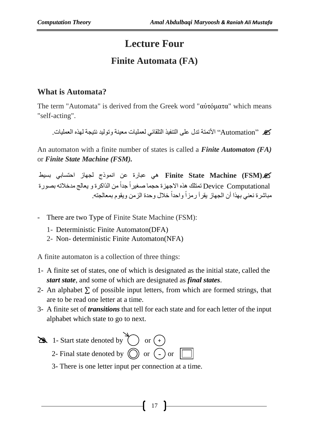# **Lecture Four**

## **Finite Automata (FA)**

## **What is Automata?**

The term "Automata" is derived from the Greek word "αὐτόματα" which means "self-acting".

" Automation "األتمتة تدل على التنفيذ التلقائي لعمليات معينة وتوليد نتيجة لهذه العمليات.

An automaton with a finite number of states is called a *Finite Automaton (FA)* or *Finite State Machine (FSM).*

**)FSM (Machine State Finite** هي عبارة عن انموذج لجهاز احتسابي بسيط Device Computational تمتلك هذه الاجهزة حجما صغيراً جداً من الذاكرة و يعالج مدخلاته بصورة مباشرة نعني بهذا أن الجهاز يقرأ رمزاً واحداً خلال وحدة الزمن ويقوم بمعالجته.

- There are two Type of Finite State Machine (FSM):
	- 1- Deterministic Finite Automaton(DFA)
	- 2- Non- deterministic Finite Automaton(NFA)

A finite automaton is a collection of three things:

- 1- A finite set of states, one of which is designated as the initial state, called the *start state*, and some of which are designated as *final states*.
- 2- An alphabet  $\Sigma$  of possible input letters, from which are formed strings, that are to be read one letter at a time.
- 3- A finite set of *transitions* that tell for each state and for each letter of the input alphabet which state to go to next.



3- There is one letter input per connection at a time.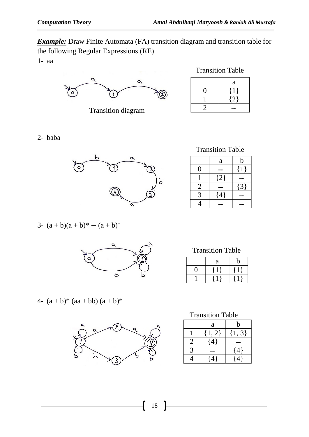*Example:* Draw Finite Automata (FA) transition diagram and transition table for the following Regular Expressions (RE). 1- aa



Transition diagram

#### Transition Table

| a   |
|-----|
|     |
| 12. |
|     |

2- baba



3- 
$$
(a + b)(a + b)^* \equiv (a + b)^+
$$



### 4-  $(a + b)^*$  (aa + bb)  $(a + b)^*$



Transition Table

|                | a       | b       |
|----------------|---------|---------|
| 0              |         | $\{1\}$ |
|                | ${2}$   |         |
| $\overline{2}$ |         | ${3}$   |
| 3              | $\{4\}$ |         |
|                |         |         |

Transition Table

| a | b |
|---|---|
|   |   |
|   |   |

| <b>Transition Table</b> |  |
|-------------------------|--|
|-------------------------|--|

|   | a          | h          |
|---|------------|------------|
|   | $\{1, 2\}$ | $\{1, 3\}$ |
|   | $\{4\}$    |            |
| 3 |            | ${4}$      |
|   | $\Delta$ ! | $\vert$ 4  |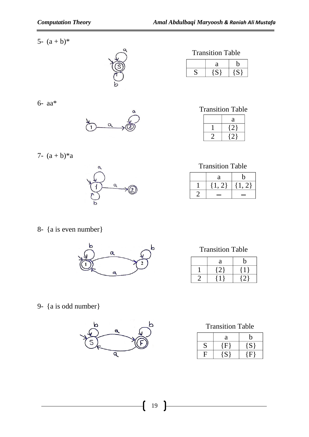5-  $(a + b)^*$ 



6- aa\*



7-  $(a + b)*a$ 



Transition Table

| а |  |
|---|--|
|   |  |

Transition Table

| a |
|---|
|   |
|   |

Transition Table

| a            | n  |
|--------------|----|
| $\mathbb{Z}$ | 21 |
|              |    |

8- {a is even number}



Transition Table

| a            | b |
|--------------|---|
| $\mathbb{Z}$ |   |
|              |   |

9- {a is odd number}



Transition Table

|   | a                   | b       |
|---|---------------------|---------|
| S | $\{ {\rm F} \}$     | $\{S\}$ |
| C | $\langle S \rangle$ | (F)     |